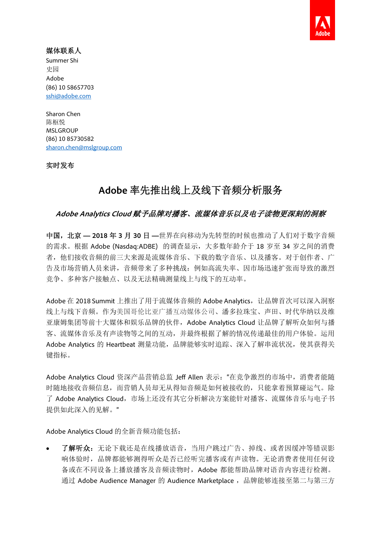

## 媒体联系人

Summer Shi 史园 Adobe (86) 10 58657703 sshi@adobe.com

Sharon Chen 陈枢悦 **MSLGROUP** (86) 10 85730582 sharon.chen@mslgroup.com

实时发布

# **Adobe** 率先推出线上及线下音频分析服务

## **Adobe Analytics Cloud** 赋予品牌对播客、流媒体音乐以及电子读物更深刻的洞察

中国,北京 **— 2018** 年 **3** 月 **30** 日 **—**世界在向移动为先转型的时候也推动了人们对于数字音频 的需求。根据 Adobe (Nasdaq:ADBE) 的调查显示,大多数年龄介于 18 岁至 34 岁之间的消费 者,他们接收音频的前三大来源是流媒体音乐、下载的数字音乐、以及播客。对于创作者、广 告及市场营销人员来讲,音频带来了多种挑战:例如高流失率、因市场迅速扩张而导致的激烈 竞争、多种客户接触点、以及无法精确测量线上与线下的互动率。

Adobe 在 2018 Summit 上推出了用于流媒体音频的 Adobe Analytics, 让品牌首次可以深入洞察 线上与线下音频。作为美国哥伦比亚广播互动媒体公司、潘多拉珠宝、声田、时代华纳以及维 亚康姆集团等前十大媒体和娱乐品牌的伙伴, Adobe Analytics Cloud 让品牌了解听众如何与播 客、流媒体音乐及有声读物等之间的互动,并最终根据了解的情况传递最佳的用户体验。运用 Adobe Analytics 的 Heartbeat 测量功能, 品牌能够实时追踪、深入了解串流状况, 使其获得关 键指标。

Adobe Analytics Cloud 资深产品营销总监 Jeff Allen 表示:"在竞争激烈的市场中,消费者能随 时随地接收音频信息,而营销人员却无从得知音频是如何被接收的,只能拿着预算碰运气。除 了 Adobe Analytics Cloud,市场上还没有其它分析解决方案能针对播客、流媒体音乐与电子书 提供如此深入的见解。"

Adobe Analytics Cloud 的全新音频功能包括:

 了解听众:无论下载还是在线播放语音,当用户跳过广告、掉线、或者因缓冲等错误影 响体验时,品牌都能够测得听众是否已经听完播客或有声读物。无论消费者使用任何设 备或在不同设备上播放播客及音频读物时,Adobe 都能帮助品牌对语音内容进行检测。 通过 Adobe Audience Manager 的 Audience Marketplace, 品牌能够连接至第二与第三方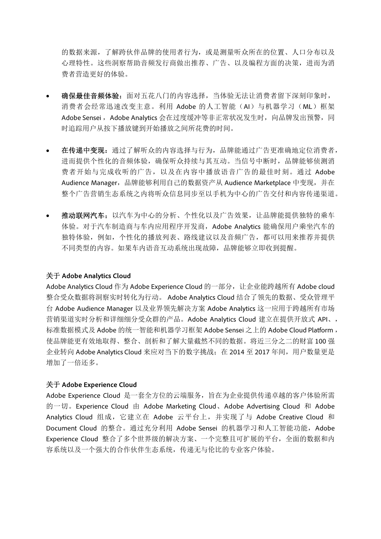的数据来源,了解跨伙伴品牌的使用者行为,或是测量听众所在的位置、人口分布以及 心理特性。这些洞察帮助音频发行商做出推荐、广告、以及编程方面的决策,进而为消 费者营造更好的体验。

- 确保最佳音频体验:面对五花八门的内容选择,当体验无法让消费者留下深刻印象时, 消费者会经常迅速改变主意。利用 Adobe 的人工智能(AI)与机器学习(ML)框架 Adobe Sensei, Adobe Analytics 会在过度缓冲等非正常状况发生时,向品牌发出预警,同 时追踪用户从按下播放键到开始播放之间所花费的时间。
- 在传递中变现:通过了解听众的内容选择与行为,品牌能通过广告更准确地定位消费者, 进而提供个性化的音频体验,确保听众持续与其互动。当信号中断时,品牌能够侦测消 费者开始与完成收听的广告,以及在内容中播放语音广告的最佳时刻。通过 Adobe Audience Manager, 品牌能够利用自己的数据资产从 Audience Marketplace 中变现, 并在 整个广告营销生态系统之内将听众信息同步至以手机为中心的广告交付和内容传递渠道。
- 推动联网汽车:以汽车为中心的分析、个性化以及广告效果,让品牌能提供独特的乘车 体验。对于汽车制造商与车内应用程序开发商,Adobe Analytics 能确保用户乘坐汽车的 独特体验,例如,个性化的播放列表、路线建议以及音频广告,都可以用来推荐并提供 不同类型的内容。如果车内语音互动系统出现故障,品牌能够立即收到提醒。

#### 关于 **Adobe Analytics Cloud**

Adobe Analytics Cloud 作为 Adobe Experience Cloud 的一部分,让企业能跨越所有 Adobe cloud 整合受众数据将洞察实时转化为行动。 Adobe Analytics Cloud 结合了领先的数据、受众管理平 台 Adobe Audience Manager 以及业界领先解决方案 Adobe Analytics 这一应用于跨越所有市场 营销渠道实时分析和详细细分受众群的产品。Adobe Analytics Cloud 建立在提供开放式 API、, 标准数据模式及 Adobe 的统一智能和机器学习框架 Adobe Sensei 之上的 Adobe Cloud Platform , 使品牌能更有效地取得、整合、剖析和了解大量截然不同的数据。将近三分之二的财富 100 强 企业转向 Adobe Analytics Cloud 来应对当下的数字挑战;在 2014 至 2017 年间,用户数量更是 增加了一倍还多。

#### 关于 **Adobe Experience Cloud**

Adobe Experience Cloud 是一套全方位的云端服务,旨在为企业提供传递卓越的客户体验所需 的一切。Experience Cloud 由 Adobe Marketing Cloud、Adobe Advertising Cloud 和 Adobe Analytics Cloud 组成,它建立在 Adobe 云平台上,并实现了与 Adobe Creative Cloud 和 Document Cloud 的整合。通过充分利用 Adobe Sensei 的机器学习和人工智能功能, Adobe Experience Cloud 整合了多个世界级的解决方案、一个完整且可扩展的平台,全面的数据和内 容系统以及一个强大的合作伙伴生态系统,传递无与伦比的专业客户体验。